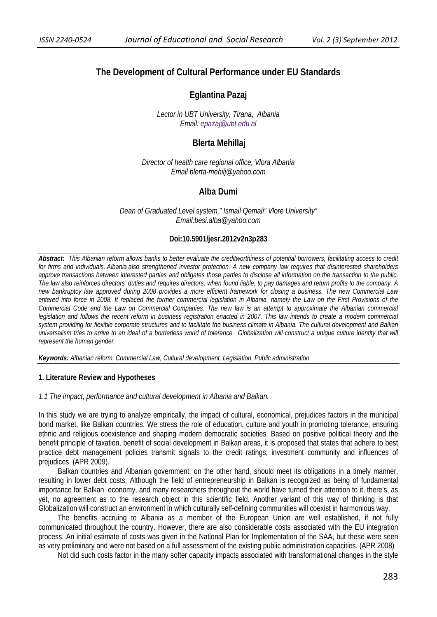# **The Development of Cultural Performance under EU Standards**

**Eglantina Pazaj** 

*Lector in UBT University, Tirana, Albania Email: epazaj@ubt.edu.al*

## **Blerta Mehillaj**

*Director of health care regional office, Vlora Albania Email blerta-mehilj@yahoo.com* 

## **Alba Dumi**

*Dean of Graduated Level system," Ismail Qemali" Vlore University" Email:besi.alba@yahoo.com* 

### **Doi:10.5901/jesr.2012v2n3p283**

*Abstract: This Albanian reform allows banks to better evaluate the creditworthiness of potential borrowers, facilitating access to credit for firms and individuals. Albania also strengthened investor protection. A new company law requires that disinterested shareholders approve transactions between interested parties and obligates those parties to disclose all information on the transaction to the public. The law also reinforces directors' duties and requires directors, when found liable, to pay damages and return profits to the company. A new bankruptcy law approved during 2008 provides a more efficient framework for closing a business. The new Commercial Law entered into force in 2008. It replaced the former commercial legislation in Albania, namely the Law on the First Provisions of the Commercial Code and the Law on Commercial Companies. The new law is an attempt to approximate the Albanian commercial*  legislation and follows the recent reform in business registration enacted in 2007. This law intends to create a modern commercial *system providing for flexible corporate structures and to facilitate the business climate in Albania. The cultural development and Balkan universalism tries to arrive to an ideal of a borderless world of tolerance. Globalization will construct a unique culture identity that will represent the human gender.* 

*Keywords: Albanian reform, Commercial Law, Cultural development, Legislation, Public administration* 

#### **1. Literature Review and Hypotheses**

#### *1.1 The impact, performance and cultural development in Albania and Balkan.*

In this study we are trying to analyze empirically, the impact of cultural, economical, prejudices factors in the municipal bond market, like Balkan countries. We stress the role of education, culture and youth in promoting tolerance, ensuring ethnic and religious coexistence and shaping modern democratic societies. Based on positive political theory and the benefit principle of taxation, benefit of social development in Balkan areas, it is proposed that states that adhere to best practice debt management policies transmit signals to the credit ratings, investment community and influences of prejudices. (APR 2009).

Balkan countries and Albanian government, on the other hand, should meet its obligations in a timely manner, resulting in lower debt costs. Although the field of entrepreneurship in Balkan is recognized as being of fundamental importance for Balkan economy, and many researchers throughout the world have turned their attention to it, there's, as yet, no agreement as to the research object in this scientific field. Another variant of this way of thinking is that Globalization will construct an environment in which culturally self-defining communities will coexist in harmonious way.

The benefits accruing to Albania as a member of the European Union are well established, if not fully communicated throughout the country. However, there are also considerable costs associated with the EU integration process. An initial estimate of costs was given in the National Plan for Implementation of the SAA, but these were seen as very preliminary and were not based on a full assessment of the existing public administration capacities. (APR 2008)

Not did such costs factor in the many softer capacity impacts associated with transformational changes in the style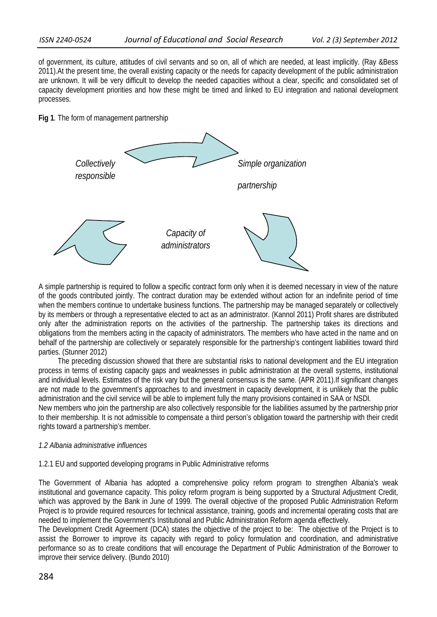of government, its culture, attitudes of civil servants and so on, all of which are needed, at least implicitly. (Ray &Bess 2011).At the present time, the overall existing capacity or the needs for capacity development of the public administration are unknown. It will be very difficult to develop the needed capacities without a clear, specific and consolidated set of capacity development priorities and how these might be timed and linked to EU integration and national development processes.

## **Fig 1***.* The form of management partnership



A simple partnership is required to follow a specific contract form only when it is deemed necessary in view of the nature of the goods contributed jointly. The contract duration may be extended without action for an indefinite period of time when the members continue to undertake business functions. The partnership may be managed separately or collectively by its members or through a representative elected to act as an administrator. (Kannol 2011) Profit shares are distributed only after the administration reports on the activities of the partnership. The partnership takes its directions and obligations from the members acting in the capacity of administrators. The members who have acted in the name and on behalf of the partnership are collectively or separately responsible for the partnership's contingent liabilities toward third parties. (Stunner 2012)

The preceding discussion showed that there are substantial risks to national development and the EU integration process in terms of existing capacity gaps and weaknesses in public administration at the overall systems, institutional and individual levels. Estimates of the risk vary but the general consensus is the same. (APR 2011).If significant changes are not made to the government's approaches to and investment in capacity development, it is unlikely that the public administration and the civil service will be able to implement fully the many provisions contained in SAA or NSDI*.* 

New members who join the partnership are also collectively responsible for the liabilities assumed by the partnership prior to their membership. It is not admissible to compensate a third person's obligation toward the partnership with their credit rights toward a partnership's member.

### *1.2 Albania administrative influences*

### 1.2.1 EU and supported developing programs in Public Administrative reforms

The Government of Albania has adopted a comprehensive policy reform program to strengthen Albania's weak institutional and governance capacity. This policy reform program is being supported by a Structural Adjustment Credit, which was approved by the Bank in June of 1999. The overall objective of the proposed Public Administration Reform Project is to provide required resources for technical assistance, training, goods and incremental operating costs that are needed to implement the Government's Institutional and Public Administration Reform agenda effectively.

The Development Credit Agreement (DCA) states the objective of the project to be: The objective of the Project is to assist the Borrower to improve its capacity with regard to policy formulation and coordination, and administrative performance so as to create conditions that will encourage the Department of Public Administration of the Borrower to improve their service delivery. (Bundo 2010)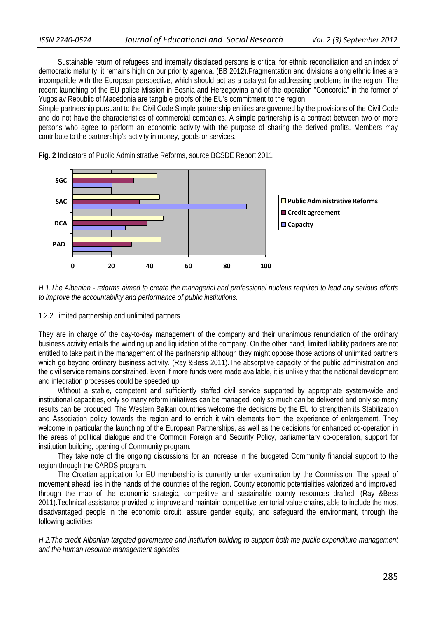Sustainable return of refugees and internally displaced persons is critical for ethnic reconciliation and an index of democratic maturity; it remains high on our priority agenda. (BB 2012).Fragmentation and divisions along ethnic lines are incompatible with the European perspective, which should act as a catalyst for addressing problems in the region. The recent launching of the EU police Mission in Bosnia and Herzegovina and of the operation "Concordia" in the former of Yugoslav Republic of Macedonia are tangible proofs of the EU's commitment to the region.

Simple partnership pursuant to the Civil Code Simple partnership entities are governed by the provisions of the Civil Code and do not have the characteristics of commercial companies. A simple partnership is a contract between two or more persons who agree to perform an economic activity with the purpose of sharing the derived profits. Members may contribute to the partnership's activity in money, goods or services.

**Fig. 2** Indicators of Public Administrative Reforms, source BCSDE Report 2011



 *H 1.The Albanian - reforms aimed to create the managerial and professional nucleus required to lead any serious efforts to improve the accountability and performance of public institutions.*

1.2.2 Limited partnership and unlimited partners

They are in charge of the day-to-day management of the company and their unanimous renunciation of the ordinary business activity entails the winding up and liquidation of the company. On the other hand, limited liability partners are not entitled to take part in the management of the partnership although they might oppose those actions of unlimited partners which go beyond ordinary business activity. (Ray &Bess 2011). The absorptive capacity of the public administration and the civil service remains constrained. Even if more funds were made available, it is unlikely that the national development and integration processes could be speeded up.

Without a stable, competent and sufficiently staffed civil service supported by appropriate system-wide and institutional capacities, only so many reform initiatives can be managed, only so much can be delivered and only so many results can be produced. The Western Balkan countries welcome the decisions by the EU to strengthen its Stabilization and Association policy towards the region and to enrich it with elements from the experience of enlargement. They welcome in particular the launching of the European Partnerships, as well as the decisions for enhanced co-operation in the areas of political dialogue and the Common Foreign and Security Policy, parliamentary co-operation, support for institution building, opening of Community program.

They take note of the ongoing discussions for an increase in the budgeted Community financial support to the region through the CARDS program.

The Croatian application for EU membership is currently under examination by the Commission. The speed of movement ahead lies in the hands of the countries of the region. County economic potentialities valorized and improved, through the map of the economic strategic, competitive and sustainable county resources drafted. (Ray &Bess 2011).Technical assistance provided to improve and maintain competitive territorial value chains, able to include the most disadvantaged people in the economic circuit, assure gender equity, and safeguard the environment, through the following activities

*H 2.The credit Albanian targeted governance and institution building to support both the public expenditure management and the human resource management agendas*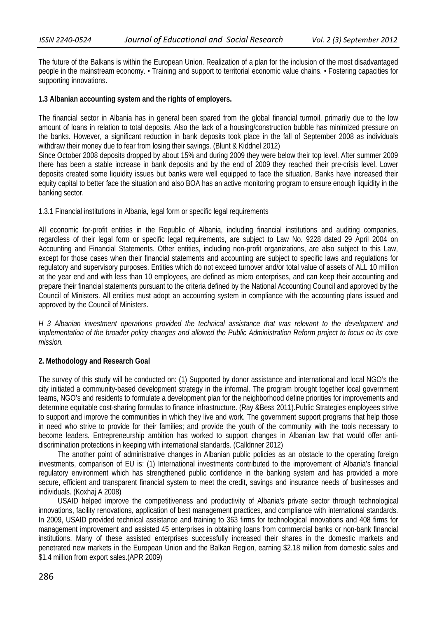The future of the Balkans is within the European Union. Realization of a plan for the inclusion of the most disadvantaged people in the mainstream economy. • Training and support to territorial economic value chains. • Fostering capacities for supporting innovations.

### **1.3 Albanian accounting system and the rights of employers.**

The financial sector in Albania has in general been spared from the global financial turmoil, primarily due to the low amount of loans in relation to total deposits. Also the lack of a housing/construction bubble has minimized pressure on the banks. However, a significant reduction in bank deposits took place in the fall of September 2008 as individuals withdraw their money due to fear from losing their savings. (Blunt & Kiddnel 2012)

Since October 2008 deposits dropped by about 15% and during 2009 they were below their top level. After summer 2009 there has been a stable increase in bank deposits and by the end of 2009 they reached their pre-crisis level. Lower deposits created some liquidity issues but banks were well equipped to face the situation. Banks have increased their equity capital to better face the situation and also BOA has an active monitoring program to ensure enough liquidity in the banking sector.

## 1.3.1 Financial institutions in Albania, legal form or specific legal requirements

All economic for-profit entities in the Republic of Albania, including financial institutions and auditing companies, regardless of their legal form or specific legal requirements, are subject to Law No. 9228 dated 29 April 2004 on Accounting and Financial Statements. Other entities, including non-profit organizations, are also subject to this Law, except for those cases when their financial statements and accounting are subject to specific laws and regulations for regulatory and supervisory purposes. Entities which do not exceed turnover and/or total value of assets of ALL 10 million at the year end and with less than 10 employees, are defined as micro enterprises, and can keep their accounting and prepare their financial statements pursuant to the criteria defined by the National Accounting Council and approved by the Council of Ministers. All entities must adopt an accounting system in compliance with the accounting plans issued and approved by the Council of Ministers.

*H 3 Albanian investment operations provided the technical assistance that was relevant to the development and implementation of the broader policy changes and allowed the Public Administration Reform project to focus on its core mission.* 

## **2. Methodology and Research Goal**

The survey of this study will be conducted on: (1) Supported by donor assistance and international and local NGO's the city initiated a community-based development strategy in the informal. The program brought together local government teams, NGO's and residents to formulate a development plan for the neighborhood define priorities for improvements and determine equitable cost-sharing formulas to finance infrastructure. (Ray &Bess 2011).Public Strategies employees strive to support and improve the communities in which they live and work. The government support programs that help those in need who strive to provide for their families; and provide the youth of the community with the tools necessary to become leaders. Entrepreneurship ambition has worked to support changes in Albanian law that would offer antidiscrimination protections in keeping with international standards. (Calldnner 2012)

The another point of administrative changes in Albanian public policies as an obstacle to the operating foreign investments, comparison of EU is: (1) International investments contributed to the improvement of Albania's financial regulatory environment which has strengthened public confidence in the banking system and has provided a more secure, efficient and transparent financial system to meet the credit, savings and insurance needs of businesses and individuals. (Koxhaj A 2008)

USAID helped improve the competitiveness and productivity of Albania's private sector through technological innovations, facility renovations, application of best management practices, and compliance with international standards. In 2009, USAID provided technical assistance and training to 363 firms for technological innovations and 408 firms for management improvement and assisted 45 enterprises in obtaining loans from commercial banks or non-bank financial institutions. Many of these assisted enterprises successfully increased their shares in the domestic markets and penetrated new markets in the European Union and the Balkan Region, earning \$2.18 million from domestic sales and \$1.4 million from export sales.(APR 2009)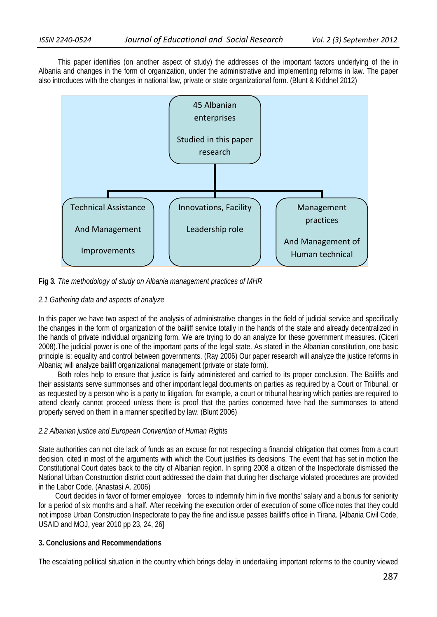This paper identifies (on another aspect of study) the addresses of the important factors underlying of the in Albania and changes in the form of organization, under the administrative and implementing reforms in law. The paper also introduces with the changes in national law, private or state organizational form. (Blunt & Kiddnel 2012)



**Fig 3***. The methodology of study on Albania management practices of MHR* 

### *2.1 Gathering data and aspects of analyze*

In this paper we have two aspect of the analysis of administrative changes in the field of judicial service and specifically the changes in the form of organization of the bailiff service totally in the hands of the state and already decentralized in the hands of private individual organizing form. We are trying to do an analyze for these government measures. (Ciceri 2008).The judicial power is one of the important parts of the legal state. As stated in the Albanian constitution, one basic principle is: equality and control between governments. (Ray 2006) Our paper research will analyze the justice reforms in Albania; will analyze bailiff organizational management (private or state form).

Both roles help to ensure that justice is fairly administered and carried to its proper conclusion. The Bailiffs and their assistants serve summonses and other important legal documents on parties as required by a Court or Tribunal, or as requested by a person who is a party to litigation, for example, a court or tribunal hearing which parties are required to attend clearly cannot proceed unless there is proof that the parties concerned have had the summonses to attend properly served on them in a manner specified by law. (Blunt 2006)

### *2.2 Albanian justice and European Convention of Human Rights*

State authorities can not cite lack of funds as an excuse for not respecting a financial obligation that comes from a court decision, cited in most of the arguments with which the Court justifies its decisions. The event that has set in motion the Constitutional Court dates back to the city of Albanian region. In spring 2008 a citizen of the Inspectorate dismissed the National Urban Construction district court addressed the claim that during her discharge violated procedures are provided in the Labor Code. (Anastasi A. 2006)

 Court decides in favor of former employee forces to indemnify him in five months' salary and a bonus for seniority for a period of six months and a half. After receiving the execution order of execution of some office notes that they could not impose Urban Construction Inspectorate to pay the fine and issue passes bailiff's office in Tirana. [Albania Civil Code, USAID and MOJ, year 2010 pp 23, 24, 26]

### **3. Conclusions and Recommendations**

The escalating political situation in the country which brings delay in undertaking important reforms to the country viewed